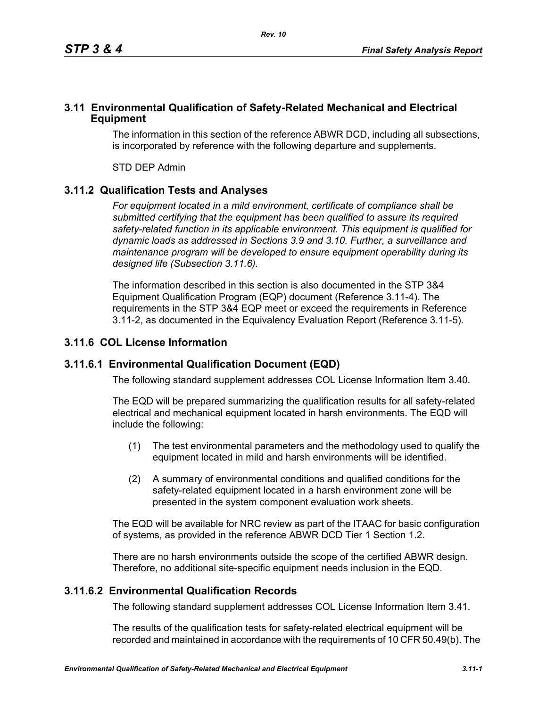### **3.11 Environmental Qualification of Safety-Related Mechanical and Electrical Equipment**

The information in this section of the reference ABWR DCD, including all subsections, is incorporated by reference with the following departure and supplements.

STD DEP Admin

# **3.11.2 Qualification Tests and Analyses**

*For equipment located in a mild environment, certificate of compliance shall be submitted certifying that the equipment has been qualified to assure its required safety-related function in its applicable environment. This equipment is qualified for dynamic loads as addressed in Sections 3.9 and 3.10. Further, a surveillance and maintenance program will be developed to ensure equipment operability during its designed life (Subsection 3.11.6).*

The information described in this section is also documented in the STP 3&4 Equipment Qualification Program (EQP) document (Reference 3.11-4). The requirements in the STP 3&4 EQP meet or exceed the requirements in Reference 3.11-2, as documented in the Equivalency Evaluation Report (Reference 3.11-5).

# **3.11.6 COL License Information**

## **3.11.6.1 Environmental Qualification Document (EQD)**

The following standard supplement addresses COL License Information Item 3.40.

The EQD will be prepared summarizing the qualification results for all safety-related electrical and mechanical equipment located in harsh environments. The EQD will include the following:

- (1) The test environmental parameters and the methodology used to qualify the equipment located in mild and harsh environments will be identified.
- (2) A summary of environmental conditions and qualified conditions for the safety-related equipment located in a harsh environment zone will be presented in the system component evaluation work sheets.

The EQD will be available for NRC review as part of the ITAAC for basic configuration of systems, as provided in the reference ABWR DCD Tier 1 Section 1.2.

There are no harsh environments outside the scope of the certified ABWR design. Therefore, no additional site-specific equipment needs inclusion in the EQD.

## **3.11.6.2 Environmental Qualification Records**

The following standard supplement addresses COL License Information Item 3.41.

The results of the qualification tests for safety-related electrical equipment will be recorded and maintained in accordance with the requirements of 10 CFR 50.49(b). The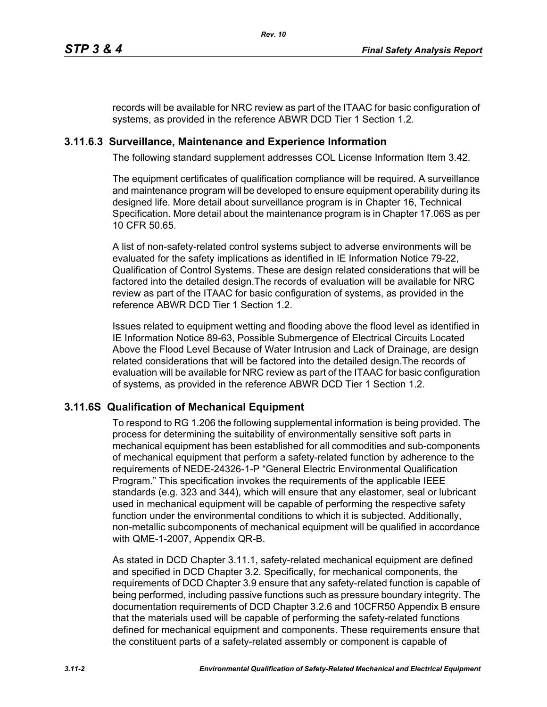records will be available for NRC review as part of the ITAAC for basic configuration of systems, as provided in the reference ABWR DCD Tier 1 Section 1.2.

## **3.11.6.3 Surveillance, Maintenance and Experience Information**

The following standard supplement addresses COL License Information Item 3.42.

The equipment certificates of qualification compliance will be required. A surveillance and maintenance program will be developed to ensure equipment operability during its designed life. More detail about surveillance program is in Chapter 16, Technical Specification. More detail about the maintenance program is in Chapter 17.06S as per 10 CFR 50.65.

A list of non-safety-related control systems subject to adverse environments will be evaluated for the safety implications as identified in IE Information Notice 79-22, Qualification of Control Systems. These are design related considerations that will be factored into the detailed design.The records of evaluation will be available for NRC review as part of the ITAAC for basic configuration of systems, as provided in the reference ABWR DCD Tier 1 Section 1.2.

Issues related to equipment wetting and flooding above the flood level as identified in IE Information Notice 89-63, Possible Submergence of Electrical Circuits Located Above the Flood Level Because of Water Intrusion and Lack of Drainage, are design related considerations that will be factored into the detailed design.The records of evaluation will be available for NRC review as part of the ITAAC for basic configuration of systems, as provided in the reference ABWR DCD Tier 1 Section 1.2.

## **3.11.6S Qualification of Mechanical Equipment**

To respond to RG 1.206 the following supplemental information is being provided. The process for determining the suitability of environmentally sensitive soft parts in mechanical equipment has been established for all commodities and sub-components of mechanical equipment that perform a safety-related function by adherence to the requirements of NEDE-24326-1-P "General Electric Environmental Qualification Program." This specification invokes the requirements of the applicable IEEE standards (e.g. 323 and 344), which will ensure that any elastomer, seal or lubricant used in mechanical equipment will be capable of performing the respective safety function under the environmental conditions to which it is subjected. Additionally, non-metallic subcomponents of mechanical equipment will be qualified in accordance with QME-1-2007, Appendix QR-B.

As stated in DCD Chapter 3.11.1, safety-related mechanical equipment are defined and specified in DCD Chapter 3.2. Specifically, for mechanical components, the requirements of DCD Chapter 3.9 ensure that any safety-related function is capable of being performed, including passive functions such as pressure boundary integrity. The documentation requirements of DCD Chapter 3.2.6 and 10CFR50 Appendix B ensure that the materials used will be capable of performing the safety-related functions defined for mechanical equipment and components. These requirements ensure that the constituent parts of a safety-related assembly or component is capable of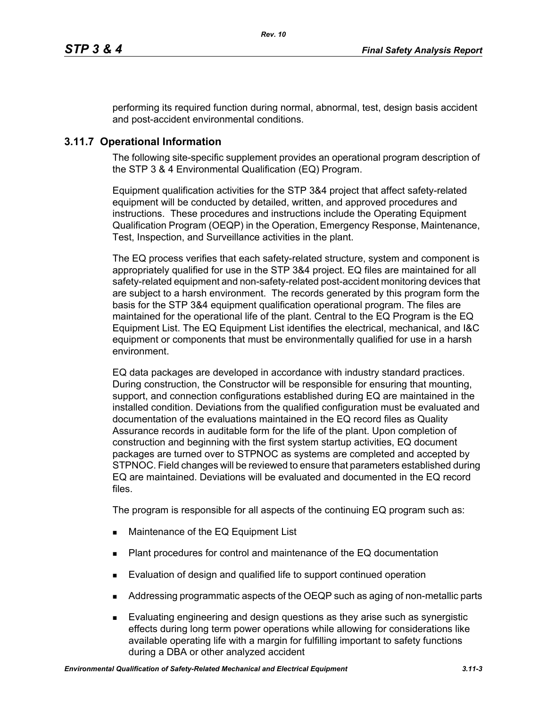performing its required function during normal, abnormal, test, design basis accident and post-accident environmental conditions.

# **3.11.7 Operational Information**

The following site-specific supplement provides an operational program description of the STP 3 & 4 Environmental Qualification (EQ) Program.

Equipment qualification activities for the STP 3&4 project that affect safety-related equipment will be conducted by detailed, written, and approved procedures and instructions. These procedures and instructions include the Operating Equipment Qualification Program (OEQP) in the Operation, Emergency Response, Maintenance, Test, Inspection, and Surveillance activities in the plant.

The EQ process verifies that each safety-related structure, system and component is appropriately qualified for use in the STP 3&4 project. EQ files are maintained for all safety-related equipment and non-safety-related post-accident monitoring devices that are subject to a harsh environment. The records generated by this program form the basis for the STP 3&4 equipment qualification operational program. The files are maintained for the operational life of the plant. Central to the EQ Program is the EQ Equipment List. The EQ Equipment List identifies the electrical, mechanical, and I&C equipment or components that must be environmentally qualified for use in a harsh environment.

EQ data packages are developed in accordance with industry standard practices. During construction, the Constructor will be responsible for ensuring that mounting, support, and connection configurations established during EQ are maintained in the installed condition. Deviations from the qualified configuration must be evaluated and documentation of the evaluations maintained in the EQ record files as Quality Assurance records in auditable form for the life of the plant. Upon completion of construction and beginning with the first system startup activities, EQ document packages are turned over to STPNOC as systems are completed and accepted by STPNOC. Field changes will be reviewed to ensure that parameters established during EQ are maintained. Deviations will be evaluated and documented in the EQ record files.

The program is responsible for all aspects of the continuing EQ program such as:

- **Maintenance of the EQ Equipment List**
- Plant procedures for control and maintenance of the EQ documentation
- **Evaluation of design and qualified life to support continued operation**
- Addressing programmatic aspects of the OEQP such as aging of non-metallic parts
- Evaluating engineering and design questions as they arise such as synergistic effects during long term power operations while allowing for considerations like available operating life with a margin for fulfilling important to safety functions during a DBA or other analyzed accident